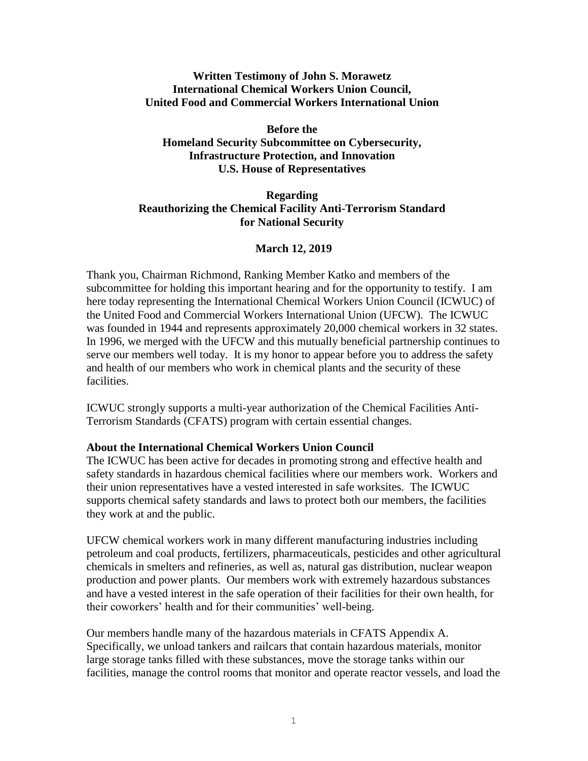# **Written Testimony of John S. Morawetz International Chemical Workers Union Council, United Food and Commercial Workers International Union**

**Before the Homeland Security Subcommittee on Cybersecurity, Infrastructure Protection, and Innovation U.S. House of Representatives**

# **Regarding Reauthorizing the Chemical Facility Anti-Terrorism Standard for National Security**

# **March 12, 2019**

Thank you, Chairman Richmond, Ranking Member Katko and members of the subcommittee for holding this important hearing and for the opportunity to testify. I am here today representing the International Chemical Workers Union Council (ICWUC) of the United Food and Commercial Workers International Union (UFCW). The ICWUC was founded in 1944 and represents approximately 20,000 chemical workers in 32 states. In 1996, we merged with the UFCW and this mutually beneficial partnership continues to serve our members well today. It is my honor to appear before you to address the safety and health of our members who work in chemical plants and the security of these facilities.

ICWUC strongly supports a multi-year authorization of the Chemical Facilities Anti-Terrorism Standards (CFATS) program with certain essential changes.

#### **About the International Chemical Workers Union Council**

The ICWUC has been active for decades in promoting strong and effective health and safety standards in hazardous chemical facilities where our members work. Workers and their union representatives have a vested interested in safe worksites. The ICWUC supports chemical safety standards and laws to protect both our members, the facilities they work at and the public.

UFCW chemical workers work in many different manufacturing industries including petroleum and coal products, fertilizers, pharmaceuticals, pesticides and other agricultural chemicals in smelters and refineries, as well as, natural gas distribution, nuclear weapon production and power plants. Our members work with extremely hazardous substances and have a vested interest in the safe operation of their facilities for their own health, for their coworkers' health and for their communities' well-being.

Our members handle many of the hazardous materials in CFATS Appendix A. Specifically, we unload tankers and railcars that contain hazardous materials, monitor large storage tanks filled with these substances, move the storage tanks within our facilities, manage the control rooms that monitor and operate reactor vessels, and load the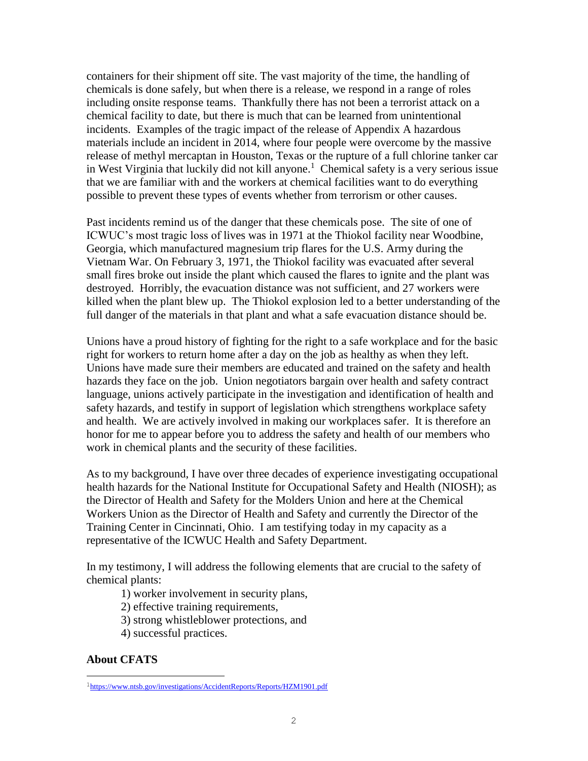containers for their shipment off site. The vast majority of the time, the handling of chemicals is done safely, but when there is a release, we respond in a range of roles including onsite response teams. Thankfully there has not been a terrorist attack on a chemical facility to date, but there is much that can be learned from unintentional incidents. Examples of the tragic impact of the release of Appendix A hazardous materials include an incident in 2014, where four people were overcome by the massive release of methyl mercaptan in Houston, Texas or the rupture of a full chlorine tanker car in West Virginia that luckily did not kill anyone. 1 Chemical safety is a very serious issue that we are familiar with and the workers at chemical facilities want to do everything possible to prevent these types of events whether from terrorism or other causes.

Past incidents remind us of the danger that these chemicals pose. The site of one of ICWUC's most tragic loss of lives was in 1971 at the Thiokol facility near Woodbine, Georgia, which manufactured magnesium trip flares for the U.S. Army during the Vietnam War. On February 3, 1971, the Thiokol facility was evacuated after several small fires broke out inside the plant which caused the flares to ignite and the plant was destroyed. Horribly, the evacuation distance was not sufficient, and 27 workers were killed when the plant blew up. The Thiokol explosion led to a better understanding of the full danger of the materials in that plant and what a safe evacuation distance should be.

Unions have a proud history of fighting for the right to a safe workplace and for the basic right for workers to return home after a day on the job as healthy as when they left. Unions have made sure their members are educated and trained on the safety and health hazards they face on the job. Union negotiators bargain over health and safety contract language, unions actively participate in the investigation and identification of health and safety hazards, and testify in support of legislation which strengthens workplace safety and health. We are actively involved in making our workplaces safer. It is therefore an honor for me to appear before you to address the safety and health of our members who work in chemical plants and the security of these facilities.

As to my background, I have over three decades of experience investigating occupational health hazards for the National Institute for Occupational Safety and Health (NIOSH); as the Director of Health and Safety for the Molders Union and here at the Chemical Workers Union as the Director of Health and Safety and currently the Director of the Training Center in Cincinnati, Ohio. I am testifying today in my capacity as a representative of the ICWUC Health and Safety Department.

In my testimony, I will address the following elements that are crucial to the safety of chemical plants:

1) worker involvement in security plans,

2) effective training requirements,

3) strong whistleblower protections, and

4) successful practices.

# **About CFATS**

J.

<sup>1</sup>[https://www.ntsb.gov/investigations/AccidentReports/Reports/HZM1901.pdf](https://protect-us.mimecast.com/s/iqlhCL957RhOWK3SBnlnl?domain=ntsb.gov)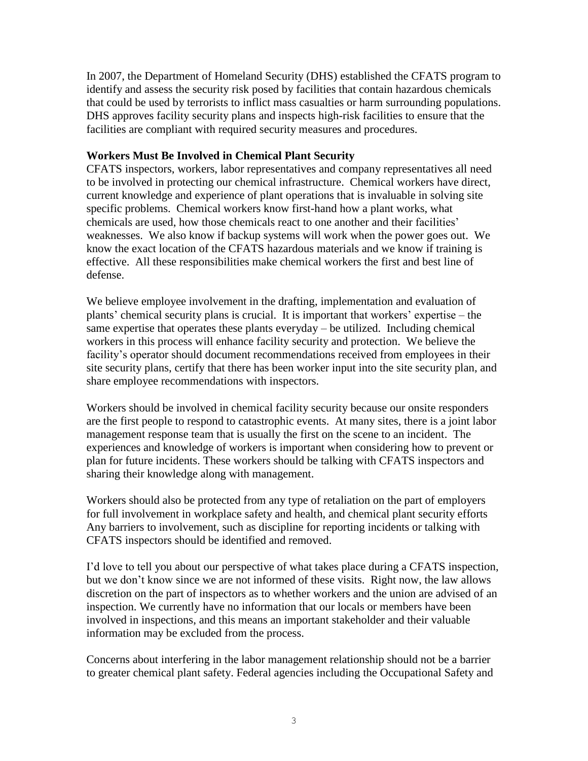In 2007, the Department of Homeland Security (DHS) established the CFATS program to identify and assess the security risk posed by facilities that contain hazardous chemicals that could be used by terrorists to inflict mass casualties or harm surrounding populations. DHS approves facility security plans and inspects high-risk facilities to ensure that the facilities are compliant with required security measures and procedures.

### **Workers Must Be Involved in Chemical Plant Security**

CFATS inspectors, workers, labor representatives and company representatives all need to be involved in protecting our chemical infrastructure. Chemical workers have direct, current knowledge and experience of plant operations that is invaluable in solving site specific problems. Chemical workers know first-hand how a plant works, what chemicals are used, how those chemicals react to one another and their facilities' weaknesses. We also know if backup systems will work when the power goes out. We know the exact location of the CFATS hazardous materials and we know if training is effective. All these responsibilities make chemical workers the first and best line of defense.

We believe employee involvement in the drafting, implementation and evaluation of plants' chemical security plans is crucial. It is important that workers' expertise – the same expertise that operates these plants everyday – be utilized. Including chemical workers in this process will enhance facility security and protection. We believe the facility's operator should document recommendations received from employees in their site security plans, certify that there has been worker input into the site security plan, and share employee recommendations with inspectors.

Workers should be involved in chemical facility security because our onsite responders are the first people to respond to catastrophic events. At many sites, there is a joint labor management response team that is usually the first on the scene to an incident. The experiences and knowledge of workers is important when considering how to prevent or plan for future incidents. These workers should be talking with CFATS inspectors and sharing their knowledge along with management.

Workers should also be protected from any type of retaliation on the part of employers for full involvement in workplace safety and health, and chemical plant security efforts Any barriers to involvement, such as discipline for reporting incidents or talking with CFATS inspectors should be identified and removed.

I'd love to tell you about our perspective of what takes place during a CFATS inspection, but we don't know since we are not informed of these visits. Right now, the law allows discretion on the part of inspectors as to whether workers and the union are advised of an inspection. We currently have no information that our locals or members have been involved in inspections, and this means an important stakeholder and their valuable information may be excluded from the process.

Concerns about interfering in the labor management relationship should not be a barrier to greater chemical plant safety. Federal agencies including the Occupational Safety and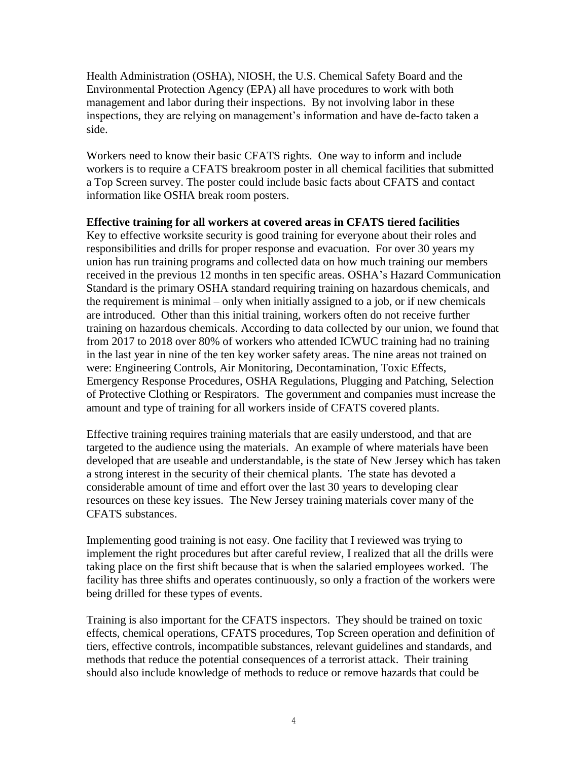Health Administration (OSHA), NIOSH, the U.S. Chemical Safety Board and the Environmental Protection Agency (EPA) all have procedures to work with both management and labor during their inspections. By not involving labor in these inspections, they are relying on management's information and have de-facto taken a side.

Workers need to know their basic CFATS rights. One way to inform and include workers is to require a CFATS breakroom poster in all chemical facilities that submitted a Top Screen survey. The poster could include basic facts about CFATS and contact information like OSHA break room posters.

# **Effective training for all workers at covered areas in CFATS tiered facilities**

Key to effective worksite security is good training for everyone about their roles and responsibilities and drills for proper response and evacuation. For over 30 years my union has run training programs and collected data on how much training our members received in the previous 12 months in ten specific areas. OSHA's Hazard Communication Standard is the primary OSHA standard requiring training on hazardous chemicals, and the requirement is minimal – only when initially assigned to a job, or if new chemicals are introduced. Other than this initial training, workers often do not receive further training on hazardous chemicals. According to data collected by our union, we found that from 2017 to 2018 over 80% of workers who attended ICWUC training had no training in the last year in nine of the ten key worker safety areas. The nine areas not trained on were: Engineering Controls, Air Monitoring, Decontamination, Toxic Effects, Emergency Response Procedures, OSHA Regulations, Plugging and Patching, Selection of Protective Clothing or Respirators. The government and companies must increase the amount and type of training for all workers inside of CFATS covered plants.

Effective training requires training materials that are easily understood, and that are targeted to the audience using the materials. An example of where materials have been developed that are useable and understandable, is the state of New Jersey which has taken a strong interest in the security of their chemical plants. The state has devoted a considerable amount of time and effort over the last 30 years to developing clear resources on these key issues. The New Jersey training materials cover many of the CFATS substances.

Implementing good training is not easy. One facility that I reviewed was trying to implement the right procedures but after careful review, I realized that all the drills were taking place on the first shift because that is when the salaried employees worked. The facility has three shifts and operates continuously, so only a fraction of the workers were being drilled for these types of events.

Training is also important for the CFATS inspectors. They should be trained on toxic effects, chemical operations, CFATS procedures, Top Screen operation and definition of tiers, effective controls, incompatible substances, relevant guidelines and standards, and methods that reduce the potential consequences of a terrorist attack. Their training should also include knowledge of methods to reduce or remove hazards that could be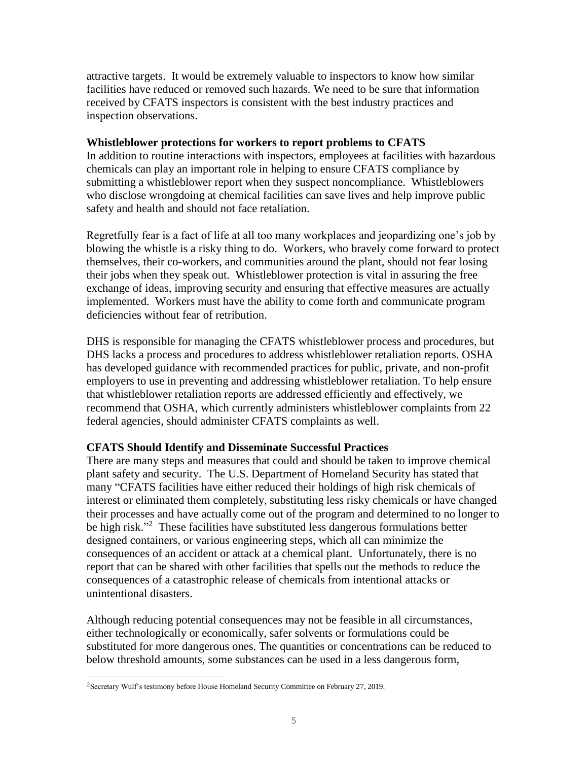attractive targets. It would be extremely valuable to inspectors to know how similar facilities have reduced or removed such hazards. We need to be sure that information received by CFATS inspectors is consistent with the best industry practices and inspection observations.

### **Whistleblower protections for workers to report problems to CFATS**

In addition to routine interactions with inspectors, employees at facilities with hazardous chemicals can play an important role in helping to ensure CFATS compliance by submitting a whistleblower report when they suspect noncompliance. Whistleblowers who disclose wrongdoing at chemical facilities can save lives and help improve public safety and health and should not face retaliation.

Regretfully fear is a fact of life at all too many workplaces and jeopardizing one's job by blowing the whistle is a risky thing to do. Workers, who bravely come forward to protect themselves, their co-workers, and communities around the plant, should not fear losing their jobs when they speak out. Whistleblower protection is vital in assuring the free exchange of ideas, improving security and ensuring that effective measures are actually implemented. Workers must have the ability to come forth and communicate program deficiencies without fear of retribution.

DHS is responsible for managing the CFATS whistleblower process and procedures, but DHS lacks a process and procedures to address whistleblower retaliation reports. OSHA has developed guidance with recommended practices for public, private, and non-profit employers to use in preventing and addressing whistleblower retaliation. To help ensure that whistleblower retaliation reports are addressed efficiently and effectively, we recommend that OSHA, which currently administers whistleblower complaints from 22 federal agencies, should administer CFATS complaints as well.

# **CFATS Should Identify and Disseminate Successful Practices**

There are many steps and measures that could and should be taken to improve chemical plant safety and security. The U.S. Department of Homeland Security has stated that many "CFATS facilities have either reduced their holdings of high risk chemicals of interest or eliminated them completely, substituting less risky chemicals or have changed their processes and have actually come out of the program and determined to no longer to be high risk."<sup>2</sup> These facilities have substituted less dangerous formulations better designed containers, or various engineering steps, which all can minimize the consequences of an accident or attack at a chemical plant. Unfortunately, there is no report that can be shared with other facilities that spells out the methods to reduce the consequences of a catastrophic release of chemicals from intentional attacks or unintentional disasters.

Although reducing potential consequences may not be feasible in all circumstances, either technologically or economically, safer solvents or formulations could be substituted for more dangerous ones. The quantities or concentrations can be reduced to below threshold amounts, some substances can be used in a less dangerous form,

J.

<sup>2</sup>Secretary Wulf's testimony before House Homeland Security Committee on February 27, 2019.